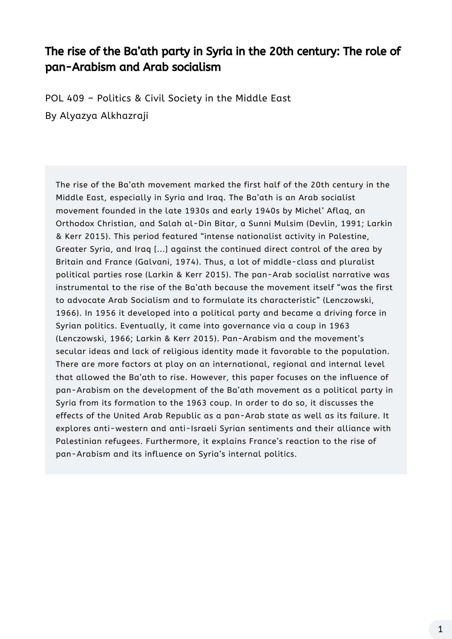The rise of the Ba'ath movement marked the first half of the 20th century in the Middle East, especially in Syria and Iraq. The Ba'ath is an Arab socialist movement founded in the late 1930s and early 1940s by Michel' Aflaq, an Orthodox Christian, and Salah al-Din Bitar, a Sunni Mulsim (Devlin, 1991; Larkin & Kerr 2015). This period featured "intense nationalist activity in Palestine, Greater Syria, and Iraq [...] against the continued direct control of the area by Britain and France (Galvani, 1974). Thus, a lot of middle-class and pluralist political parties rose (Larkin & Kerr 2015). The pan-Arab socialist narrative was instrumental to the rise of the Ba'ath because the movement itself "was the first to advocate Arab Socialism and to formulate its characteristic" (Lenczowski, 1966). In 1956 it developed into a political party and became a driving force in Syrian politics. Eventually, it came into governance via a coup in 1963 (Lenczowski, 1966; Larkin & Kerr 2015). Pan-Arabism and the movement's secular ideas and lack of religious identity made it favorable to the population. There are more factors at play on an international, regional and internal level that allowed the Ba'ath to rise. However, this paper focuses on the influence of pan-Arabism on the development of the Ba'ath movement as a political party in Syria from its formation to the 1963 coup. In order to do so, it discusses the effects of the United Arab Republic as a pan-Arab state as well as its failure. It explores anti-western and anti-Israeli Syrian sentiments and their alliance with Palestinian refugees. Furthermore, it explains France's reaction to the rise of pan-Arabism and its influence on Syria's internal politics.

POL 409 – Politics & Civil Society in the Middle East By Alyazya Alkhazraji

# The rise of the Ba'ath party in Syria in the 20th century: The role of pan-Arabism and Arab socialism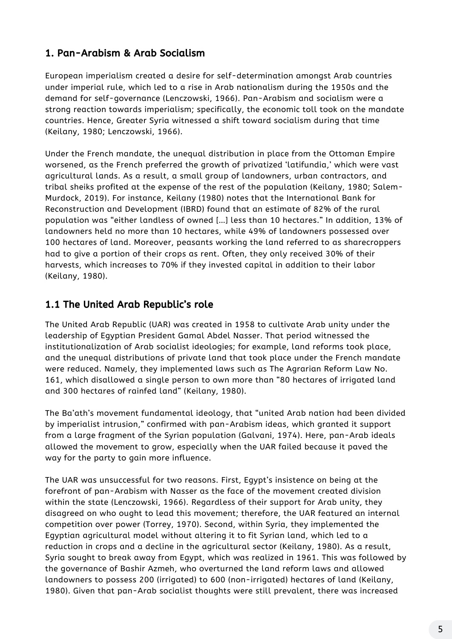European imperialism created a desire for self-determination amongst Arab countries under imperial rule, which led to a rise in Arab nationalism during the 1950s and the demand for self-governance (Lenczowski, 1966). Pan-Arabism and socialism were a strong reaction towards imperialism; specifically, the economic toll took on the mandate countries. Hence, Greater Syria witnessed a shift toward socialism during that time (Keilany, 1980; Lenczowski, 1966).

Under the French mandate, the unequal distribution in place from the Ottoman Empire worsened, as the French preferred the growth of privatized 'latifundia, ' which were vast agricultural lands. As a result, a small group of landowners, urban contractors, and tribal sheiks profited at the expense of the rest of the population (Keilany, 1980; Salem-Murdock, 2019). For instance, Keilany (1980) notes that the International Bank for Reconstruction and Development (IBRD) found that an estimate of 82% of the rural population was "either landless of owned […] less than 10 hectares." In addition, 13% of landowners held no more than 10 hectares, while 49% of landowners possessed over 100 hectares of land. Moreover, peasants working the land referred to as sharecroppers had to give a portion of their crops as rent. Often, they only received 30% of their harvests, which increases to 70% if they invested capital in addition to their labor (Keilany, 1980).

The United Arab Republic (UAR) was created in 1958 to cultivate Arab unity under the leadership of Egyptian President Gamal Abdel Nasser. That period witnessed the

institutionalization of Arab socialist ideologies; for example, land reforms took place, and the unequal distributions of private land that took place under the French mandate were reduced. Namely, they implemented laws such as The Agrarian Reform Law No. 161, which disallowed a single person to own more than "80 hectares of irrigated land and 300 hectares of rainfed land" (Keilany, 1980).

The Ba'ath's movement fundamental ideology, that " united Arab nation had been divided by imperialist intrusion, " confirmed with pan-Arabism ideas, which granted it support from a large fragment of the Syrian population (Galvani, 1974). Here, pan-Arab ideals allowed the movement to grow, especially when the UAR failed because it paved the way for the party to gain more influence.

The UAR was unsuccessful for two reasons. First, Egypt's insistence on being at the forefront of pan-Arabism with Nasser as the face of the movement created division within the state (Lenczowski, 1966). Regardless of their support for Arab unity, they disagreed on who ought to lead this movement; therefore, the UAR featured an internal competition over power (Torrey, 1970). Second, within Syria, they implemented the Egyptian agricultural model without altering it to fit Syrian land, which led to a reduction in crops and a decline in the agricultural sector (Keilany, 1980). As a result, Syria sought to break away from Egypt, which was realized in 1961. This was followed by the governance of Bashir Azmeh, who overturned the land reform laws and allowed landowners to possess 200 (irrigated) to 600 (non-irrigated) hectares of land (Keilany, 1980). Given that pan-Arab socialist thoughts were still prevalent, there was increased

## 1. Pan-Arabism & Arab Socialism

# 1.1 The United Arab Republic's role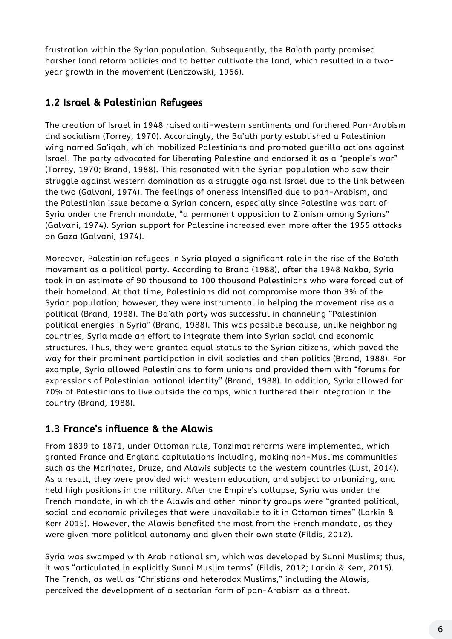frustration within the Syrian population. Subsequently, the Ba'ath party promised harsher land reform policies and to better cultivate the land, which resulted in a twoyear growth in the movement (Lenczowski, 1966).

The creation of Israel in 1948 raised anti-western sentiments and furthered Pan-Arabism and socialism (Torrey, 1970). Accordingly, the Ba'ath party established a Palestinian wing named Sa'iqah, which mobilized Palestinians and promoted guerilla actions against Israel. The party advocated for liberating Palestine and endorsed it as a "people's war" (Torrey, 1970; Brand, 1988). This resonated with the Syrian population who saw their struggle against western domination as a struggle against Israel due to the link between the two (Galvani, 1974). The feelings of oneness intensified due to pan-Arabism, and the Palestinian issue became a Syrian concern, especially since Palestine was part of Syria under the French mandate, "a permanent opposition to Zionism among Syrians" (Galvani, 1974). Syrian support for Palestine increased even more after the 1955 attacks on Gaza (Galvani, 1974).

Moreover, Palestinian refugees in Syria played a significant role in the rise of the Ba'ath movement as a political party. According to Brand (1988), after the 1948 Nakba, Syria took in an estimate of 90 thousand to 100 thousand Palestinians who were forced out of their homeland. At that time, Palestinians did not compromise more than 3% of the Syrian population; however, they were instrumental in helping the movement rise as a political (Brand, 1988). The Ba'ath party was successful in channeling "Palestinian political energies in Syria" (Brand, 1988). This was possible because, unlike neighboring countries, Syria made an effort to integrate them into Syrian social and economic structures. Thus, they were granted equal status to the Syrian citizens, which paved the way for their prominent participation in civil societies and then politics (Brand, 1988). For example, Syria allowed Palestinians to form unions and provided them with "forums for expressions of Palestinian national identity" (Brand, 1988). In addition, Syria allowed for 70% of Palestinians to live outside the camps, which furthered their integration in the country (Brand, 1988).

From 1839 to 1871, under Ottoman rule, Tanzimat reforms were implemented, which granted France and England capitulations including, making non-Muslims communities such as the Marinates, Druze, and Alawis subjects to the western countries (Lust, 2014). As a result, they were provided with western education, and subject to urbanizing, and held high positions in the military. After the Empire's collapse, Syria was under the French mandate, in which the Alawis and other minority groups were "granted political, social and economic privileges that were unavailable to it in Ottoman times" (Larkin & Kerr 2015). However, the Alawis benefited the most from the French mandate, as they were given more political autonomy and given their own state (Fildis, 2012).

Syria was swamped with Arab nationalism, which was developed by Sunni Muslims; thus, it was "articulated in explicitly Sunni Muslim terms" (Fildis, 2012; Larkin & Kerr, 2015). The French, as well as "Christians and heterodox Muslims, " including the Alawis, perceived the development of a sectarian form of pan-Arabism as a threat.

#### 1.2 Israel & Palestinian Refugees

## 1.3 France's influence & the Alawis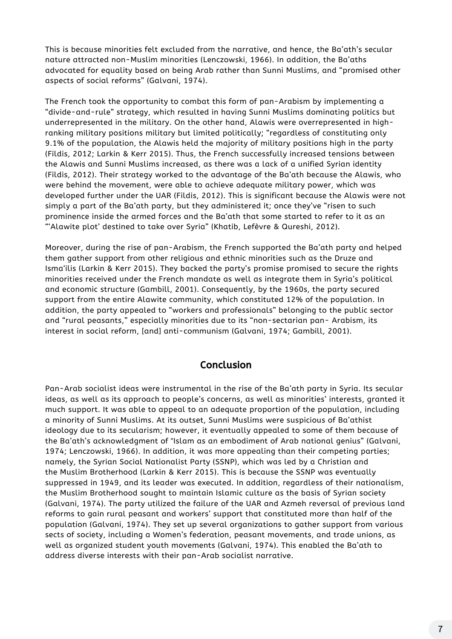This is because minorities felt excluded from the narrative, and hence, the Ba'ath's secular nature attracted non-Muslim minorities (Lenczowski, 1966). In addition, the Ba'aths advocated for equality based on being Arab rather than Sunni Muslims, and "promised other aspects of social reforms" (Galvani, 1974).

The French took the opportunity to combat this form of pan-Arabism by implementing a "divide-and-rule" strategy, which resulted in having Sunni Muslims dominating politics but underrepresented in the military. On the other hand, Alawis were overrepresented in highranking military positions military but limited politically; "regardless of constituting only 9.1% of the population, the Alawis held the majority of military positions high in the party (Fildis, 2012; Larkin & Kerr 2015). Thus, the French successfully increased tensions between the Alawis and Sunni Muslims increased, as there was a lack of a unified Syrian identity (Fildis, 2012). Their strategy worked to the advantage of the Ba'ath because the Alawis, who were behind the movement, were able to achieve adequate military power, which was developed further under the UAR (Fildis, 2012). This is significant because the Alawis were not simply a part of the Ba'ath party, but they administered it; once they've "risen to such prominence inside the armed forces and the Ba'ath that some started to refer to it as an "'Alawite plot' destined to take over Syria" (Khatib, Lefèvre & Qureshi, 2012).

Moreover, during the rise of pan-Arabism, the French supported the Ba'ath party and helped them gather support from other religious and ethnic minorities such as the Druze and Isma'ilis (Larkin & Kerr 2015). They backed the party's promise promised to secure the rights minorities received under the French mandate as well as integrate them in Syria's political and economic structure (Gambill, 2001). Consequently, by the 1960s, the party secured support from the entire Alawite community, which constituted 12% of the population. In addition, the party appealed to "workers and professionals" belonging to the public sector and "rural peasants, " especially minorities due to its "non-sectarian pan- Arabism, its interest in social reform, [and] anti-communism (Galvani, 1974; Gambill, 2001).

Pan-Arab socialist ideas were instrumental in the rise of the Ba'ath party in Syria. Its secular ideas, as well as its approach to people's concerns, as well as minorities' interests, granted it much support. It was able to appeal to an adequate proportion of the population, including a minority of Sunni Muslims. At its outset, Sunni Muslims were suspicious of Ba'athist ideology due to its secularism; however, it eventually appealed to some of them because of the Ba'ath's acknowledgment of "Islam as an embodiment of Arab national genius" (Galvani, 1974; Lenczowski, 1966). In addition, it was more appealing than their competing parties; namely, the Syrian Social Nationalist Party (SSNP), which was led by a Christian and the Muslim Brotherhood (Larkin & Kerr 2015). This is because the SSNP was eventually suppressed in 1949, and its leader was executed. In addition, regardless of their nationalism, the Muslim Brotherhood sought to maintain Islamic culture as the basis of Syrian society (Galvani, 1974). The party utilized the failure of the UAR and Azmeh reversal of previous land reforms to gain rural peasant and workers' support that constituted more than half of the population (Galvani, 1974). They set up several organizations to gather support from various sects of society, including a Women's federation, peasant movements, and trade unions, as well as organized student youth movements (Galvani, 1974). This enabled the Ba'ath to address diverse interests with their pan-Arab socialist narrative.

#### Conclusion